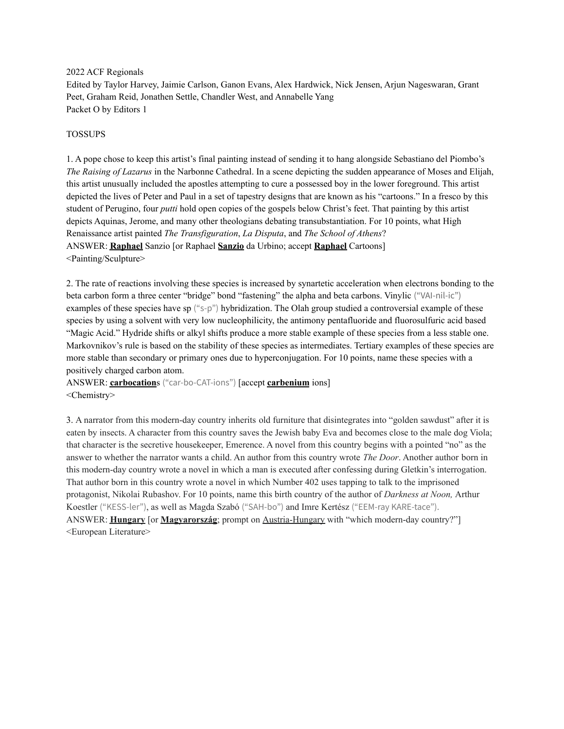2022 ACF Regionals

Edited by Taylor Harvey, Jaimie Carlson, Ganon Evans, Alex Hardwick, Nick Jensen, Arjun Nageswaran, Grant Peet, Graham Reid, Jonathen Settle, Chandler West, and Annabelle Yang Packet O by Editors 1

#### TOSSUPS

1. A pope chose to keep this artist's final painting instead of sending it to hang alongside Sebastiano del Piombo's *The Raising of Lazarus* in the Narbonne Cathedral. In a scene depicting the sudden appearance of Moses and Elijah, this artist unusually included the apostles attempting to cure a possessed boy in the lower foreground. This artist depicted the lives of Peter and Paul in a set of tapestry designs that are known as his "cartoons." In a fresco by this student of Perugino, four *putti* hold open copies of the gospels below Christ's feet. That painting by this artist depicts Aquinas, Jerome, and many other theologians debating transubstantiation. For 10 points, what High Renaissance artist painted *The Transfiguration*, *La Disputa*, and *The School of Athens*? ANSWER: **Raphael** Sanzio [or Raphael **Sanzio** da Urbino; accept **Raphael** Cartoons] <Painting/Sculpture>

2. The rate of reactions involving these species is increased by synartetic acceleration when electrons bonding to the beta carbon form a three center "bridge" bond "fastening" the alpha and beta carbons. Vinylic ("VAI-nil-ic") examples of these species have sp ("s-p") hybridization. The Olah group studied a controversial example of these species by using a solvent with very low nucleophilicity, the antimony pentafluoride and fluorosulfuric acid based "Magic Acid." Hydride shifts or alkyl shifts produce a more stable example of these species from a less stable one. Markovnikov's rule is based on the stability of these species as intermediates. Tertiary examples of these species are more stable than secondary or primary ones due to hyperconjugation. For 10 points, name these species with a positively charged carbon atom.

ANSWER: **carbocation**s ("car-bo-CAT-ions") [accept **carbenium** ions] <Chemistry>

3. A narrator from this modern-day country inherits old furniture that disintegrates into "golden sawdust" after it is eaten by insects. A character from this country saves the Jewish baby Eva and becomes close to the male dog Viola; that character is the secretive housekeeper, Emerence. A novel from this country begins with a pointed "no" as the answer to whether the narrator wants a child. An author from this country wrote *The Door*. Another author born in this modern-day country wrote a novel in which a man is executed after confessing during Gletkin's interrogation. That author born in this country wrote a novel in which Number 402 uses tapping to talk to the imprisoned protagonist, Nikolai Rubashov. For 10 points, name this birth country of the author of *Darkness at Noon,* Arthur Koestler ("KESS-ler"), as well as Magda Szabó ("SAH-bo") and Imre Kertész ("EEM-ray KARE-tace"). ANSWER: **Hungary** [or **Magyarország**; prompt on Austria-Hungary with "which modern-day country?"] <European Literature>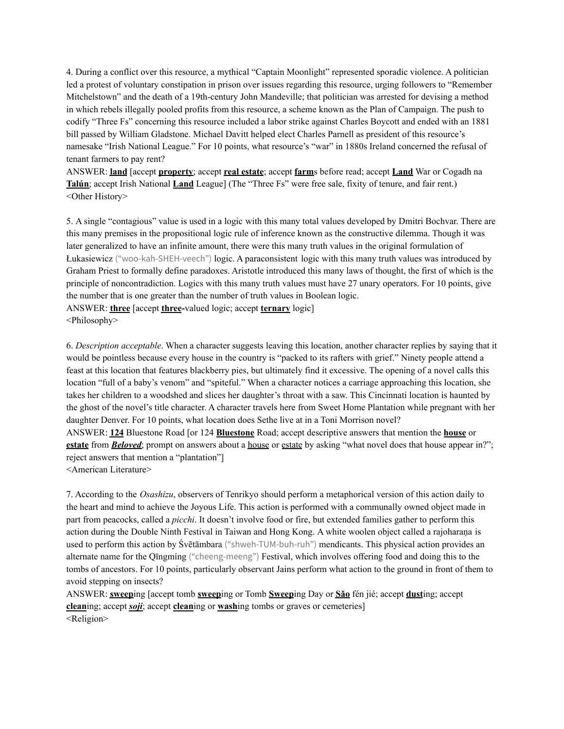4. During a conflict over this resource, a mythical "Captain Moonlight" represented sporadic violence. A politician led a protest of voluntary constipation in prison over issues regarding this resource, urging followers to "Remember Mitchelstown" and the death of a 19th-century John Mandeville; that politician was arrested for devising a method in which rebels illegally pooled profits from this resource, a scheme known as the Plan of Campaign. The push to codify "Three Fs" concerning this resource included a labor strike against Charles Boycott and ended with an 1881 bill passed by William Gladstone. Michael Davitt helped elect Charles Parnell as president of this resource's namesake "Irish National League." For 10 points, what resource's "war" in 1880s Ireland concerned the refusal of tenant farmers to pay rent?

ANSWER: **land** [accept **property**; accept **real estate**; accept **farm**s before read; accept **Land** War or Cogadh na **Talún**; accept Irish National **Land** League] (The "Three Fs" were free sale, fixity of tenure, and fair rent.) <Other History>

5. A single "contagious" value is used in a logic with this many total values developed by Dmitri Bochvar. There are this many premises in the propositional logic rule of inference known as the constructive dilemma. Though it was later generalized to have an infinite amount, there were this many truth values in the original formulation of Łukasiewicz ("woo-kah-SHEH-veech") logic. A paraconsistent logic with this many truth values was introduced by Graham Priest to formally define paradoxes. Aristotle introduced this many laws of thought, the first of which is the principle of noncontradiction. Logics with this many truth values must have 27 unary operators. For 10 points, give the number that is one greater than the number of truth values in Boolean logic.

ANSWER: **three** [accept **three-**valued logic; accept **ternary** logic] <Philosophy>

6. *Description acceptable*. When a character suggests leaving this location, another character replies by saying that it would be pointless because every house in the country is "packed to its rafters with grief." Ninety people attend a feast at this location that features blackberry pies, but ultimately find it excessive. The opening of a novel calls this location "full of a baby's venom" and "spiteful." When a character notices a carriage approaching this location, she takes her children to a woodshed and slices her daughter's throat with a saw. This Cincinnati location is haunted by the ghost of the novel's title character. A character travels here from Sweet Home Plantation while pregnant with her daughter Denver. For 10 points, what location does Sethe live at in a Toni Morrison novel? ANSWER: **124** Bluestone Road [or 124 **Bluestone** Road; accept descriptive answers that mention the **house** or **estate** from **Beloved**; prompt on answers about a <u>house</u> or estate by asking "what novel does that house appear in?"; reject answers that mention a "plantation"]

<American Literature>

7. According to the *Osashizu*, observers of Tenrikyo should perform a metaphorical version of this action daily to the heart and mind to achieve the Joyous Life. This action is performed with a communally owned object made in part from peacocks, called a *picchi*. It doesn't involve food or fire, but extended families gather to perform this action during the Double Ninth Festival in Taiwan and Hong Kong. A white woolen object called a rajoharana is used to perform this action by Śvētāmbara ("shweh-TUM-buh-ruh") mendicants. This physical action provides an alternate name for the Qīngmíng ("cheeng-meeng") Festival, which involves offering food and doing this to the tombs of ancestors. For 10 points, particularly observant Jains perform what action to the ground in front of them to avoid stepping on insects?

ANSWER: **sweep**ing [accept tomb **sweep**ing or Tomb **Sweep**ing Day or **Sǎo** fén jié; accept **dust**ing; accept **clean**ing; accept *soji*; accept **clean**ing or **wash**ing tombs or graves or cemeteries] <Religion>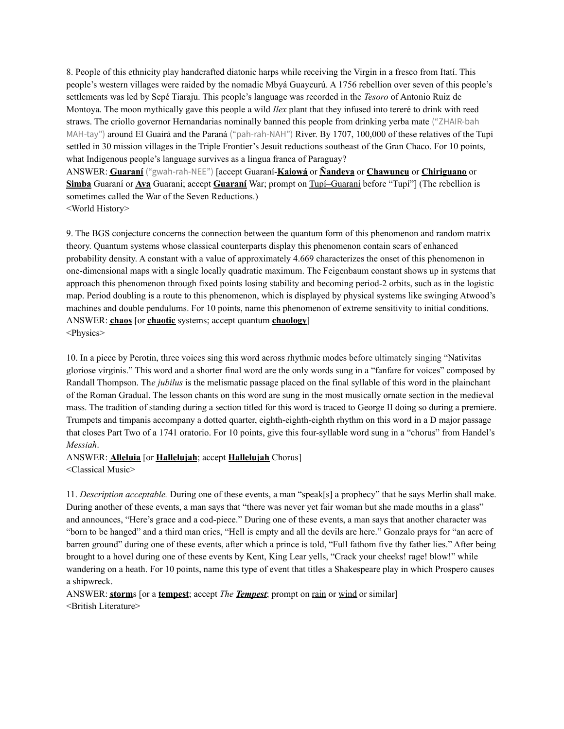8. People of this ethnicity play handcrafted diatonic harps while receiving the Virgin in a fresco from Itatí. This people's western villages were raided by the nomadic Mbyá Guaycurú. A 1756 rebellion over seven of this people's settlements was led by Sepé Tiaraju. This people's language was recorded in the *Tesoro* of Antonio Ruiz de Montoya. The moon mythically gave this people a wild *Ilex* plant that they infused into tereré to drink with reed straws. The criollo governor Hernandarias nominally banned this people from drinking yerba mate ("ZHAIR-bah MAH-tay") around El Guairá and the Paraná ("pah-rah-NAH") River. By 1707, 100,000 of these relatives of the Tupí settled in 30 mission villages in the Triple Frontier's Jesuit reductions southeast of the Gran Chaco. For 10 points, what Indigenous people's language survives as a lingua franca of Paraguay?

ANSWER: **Guaraní** ("gwah-rah-NEE") [accept Guaraní-**Kaiowá** or **Ñandeva** or **Chawuncu** or **Chiriguano** or **Simba** Guaraní or **Ava** Guarani; accept **Guaraní** War; prompt on Tupí–Guaraní before "Tupí"] (The rebellion is sometimes called the War of the Seven Reductions.) <World History>

9. The BGS conjecture concerns the connection between the quantum form of this phenomenon and random matrix theory. Quantum systems whose classical counterparts display this phenomenon contain scars of enhanced probability density. A constant with a value of approximately 4.669 characterizes the onset of this phenomenon in one-dimensional maps with a single locally quadratic maximum. The Feigenbaum constant shows up in systems that approach this phenomenon through fixed points losing stability and becoming period-2 orbits, such as in the logistic map. Period doubling is a route to this phenomenon, which is displayed by physical systems like swinging Atwood's machines and double pendulums. For 10 points, name this phenomenon of extreme sensitivity to initial conditions. ANSWER: **chaos** [or **chaotic** systems; accept quantum **chaology**] <Physics>

10. In a piece by Perotin, three voices sing this word across rhythmic modes before ultimately singing "Nativitas gloriose virginis." This word and a shorter final word are the only words sung in a "fanfare for voices" composed by Randall Thompson. Th*e jubilus* is the melismatic passage placed on the final syllable of this word in the plainchant of the Roman Gradual. The lesson chants on this word are sung in the most musically ornate section in the medieval mass. The tradition of standing during a section titled for this word is traced to George II doing so during a premiere. Trumpets and timpanis accompany a dotted quarter, eighth-eighth-eighth rhythm on this word in a D major passage that closes Part Two of a 1741 oratorio. For 10 points, give this four-syllable word sung in a "chorus" from Handel's *Messiah*.

# ANSWER: **Alleluia** [or **Hallelujah**; accept **Hallelujah** Chorus]

<Classical Music>

11. *Description acceptable.* During one of these events, a man "speak[s] a prophecy" that he says Merlin shall make. During another of these events, a man says that "there was never yet fair woman but she made mouths in a glass" and announces, "Here's grace and a cod-piece." During one of these events, a man says that another character was "born to be hanged" and a third man cries, "Hell is empty and all the devils are here." Gonzalo prays for "an acre of barren ground" during one of these events, after which a prince is told, "Full fathom five thy father lies." After being brought to a hovel during one of these events by Kent, King Lear yells, "Crack your cheeks! rage! blow!" while wandering on a heath. For 10 points, name this type of event that titles a Shakespeare play in which Prospero causes a shipwreck.

ANSWER: **storm**s [or a **tempest**; accept *The Tempest*; prompt on rain or wind or similar] <British Literature>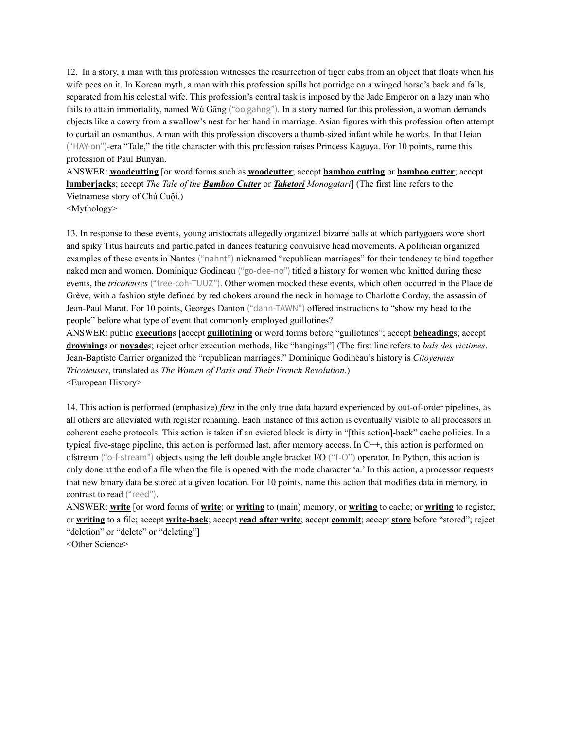12. In a story, a man with this profession witnesses the resurrection of tiger cubs from an object that floats when his wife pees on it. In Korean myth, a man with this profession spills hot porridge on a winged horse's back and falls, separated from his celestial wife. This profession's central task is imposed by the Jade Emperor on a lazy man who fails to attain immortality, named Wú Gāng ("oo gahng"). In a story named for this profession, a woman demands objects like a cowry from a swallow's nest for her hand in marriage. Asian figures with this profession often attempt to curtail an osmanthus. A man with this profession discovers a thumb-sized infant while he works. In that Heian ("HAY-on")-era "Tale," the title character with this profession raises Princess Kaguya. For 10 points, name this profession of Paul Bunyan.

ANSWER: **woodcutting** [or word forms such as **woodcutter**; accept **bamboo cutting** or **bamboo cutter**; accept **lumberjack**s; accept *The Tale of the Bamboo Cutter* or *Taketori Monogatari*] (The first line refers to the Vietnamese story of Chú Cuội.)

<Mythology>

13. In response to these events, young aristocrats allegedly organized bizarre balls at which partygoers wore short and spiky Titus haircuts and participated in dances featuring convulsive head movements. A politician organized examples of these events in Nantes ("nahnt") nicknamed "republican marriages" for their tendency to bind together naked men and women. Dominique Godineau ("go-dee-no") titled a history for women who knitted during these events, the *tricoteuses* ("tree-coh-TUUZ"). Other women mocked these events, which often occurred in the Place de Grève, with a fashion style defined by red chokers around the neck in homage to Charlotte Corday, the assassin of Jean-Paul Marat. For 10 points, Georges Danton ("dahn-TAWN") offered instructions to "show my head to the people" before what type of event that commonly employed guillotines?

ANSWER: public **execution**s [accept **guillotining** or word forms before "guillotines"; accept **beheading**s; accept **drowning**s or **noyade**s; reject other execution methods, like "hangings"] (The first line refers to *bals des victimes*. Jean-Baptiste Carrier organized the "republican marriages." Dominique Godineau's history is *Citoyennes Tricoteuses*, translated as *The Women of Paris and Their French Revolution*.) <European History>

14. This action is performed (emphasize) *first* in the only true data hazard experienced by out-of-order pipelines, as all others are alleviated with register renaming. Each instance of this action is eventually visible to all processors in coherent cache protocols. This action is taken if an evicted block is dirty in "[this action]-back" cache policies. In a typical five-stage pipeline, this action is performed last, after memory access. In C++, this action is performed on ofstream ("o-f-stream") objects using the left double angle bracket I/O ("I-O") operator. In Python, this action is only done at the end of a file when the file is opened with the mode character 'a.' In this action, a processor requests that new binary data be stored at a given location. For 10 points, name this action that modifies data in memory, in contrast to read ("reed").

ANSWER: **write** [or word forms of **write**; or **writing** to (main) memory; or **writing** to cache; or **writing** to register; or **writing** to a file; accept **write-back**; accept **read after write**; accept **commit**; accept **store** before "stored"; reject "deletion" or "delete" or "deleting"]

<Other Science>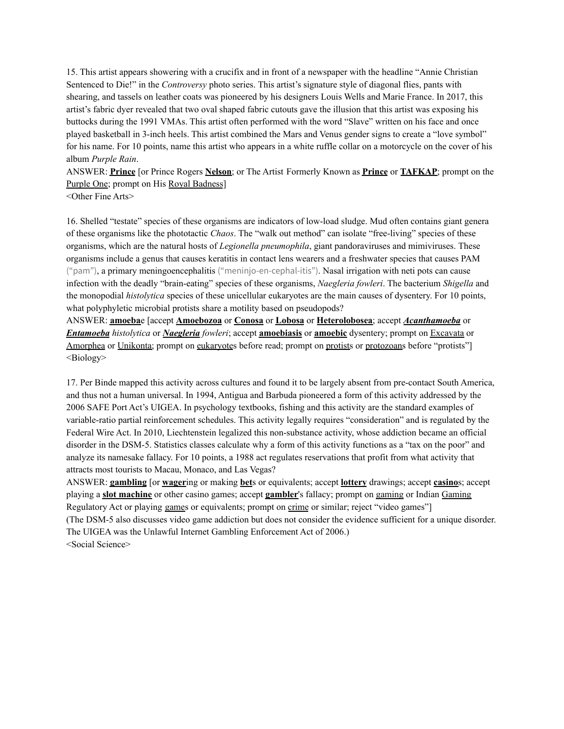15. This artist appears showering with a crucifix and in front of a newspaper with the headline "Annie Christian Sentenced to Die!" in the *Controversy* photo series. This artist's signature style of diagonal flies, pants with shearing, and tassels on leather coats was pioneered by his designers Louis Wells and Marie France. In 2017, this artist's fabric dyer revealed that two oval shaped fabric cutouts gave the illusion that this artist was exposing his buttocks during the 1991 VMAs. This artist often performed with the word "Slave" written on his face and once played basketball in 3-inch heels. This artist combined the Mars and Venus gender signs to create a "love symbol" for his name. For 10 points, name this artist who appears in a white ruffle collar on a motorcycle on the cover of his album *Purple Rain*.

ANSWER: **Prince** [or Prince Rogers **Nelson**; or The Artist Formerly Known as **Prince** or **TAFKAP**; prompt on the Purple One; prompt on His Royal Badness]

<Other Fine Arts>

16. Shelled "testate" species of these organisms are indicators of low-load sludge. Mud often contains giant genera of these organisms like the phototactic *Chaos*. The "walk out method" can isolate "free-living" species of these organisms, which are the natural hosts of *Legionella pneumophila*, giant pandoraviruses and mimiviruses. These organisms include a genus that causes keratitis in contact lens wearers and a freshwater species that causes PAM ("pam"), a primary meningoencephalitis ("meninjo-en-cephal-itis"). Nasal irrigation with neti pots can cause infection with the deadly "brain-eating" species of these organisms, *Naegleria fowleri*. The bacterium *Shigella* and the monopodial *histolytica* species of these unicellular eukaryotes are the main causes of dysentery. For 10 points, what polyphyletic microbial protists share a motility based on pseudopods?

ANSWER: **amoeba**e [accept **Amoebozoa** or **Conosa** or **Lobosa** or **Heterolobosea**; accept *Acanthamoeba* or *Entamoeba histolytica* or *Naegleria fowleri*; accept **amoebiasis** or **amoebic** dysentery; prompt on Excavata or Amorphea or Unikonta; prompt on eukaryotes before read; prompt on protists or protozoans before "protists"] <Biology>

17. Per Binde mapped this activity across cultures and found it to be largely absent from pre-contact South America, and thus not a human universal. In 1994, Antigua and Barbuda pioneered a form of this activity addressed by the 2006 SAFE Port Act's UIGEA. In psychology textbooks, fishing and this activity are the standard examples of variable-ratio partial reinforcement schedules. This activity legally requires "consideration" and is regulated by the Federal Wire Act. In 2010, Liechtenstein legalized this non-substance activity, whose addiction became an official disorder in the DSM-5. Statistics classes calculate why a form of this activity functions as a "tax on the poor" and analyze its namesake fallacy. For 10 points, a 1988 act regulates reservations that profit from what activity that attracts most tourists to Macau, Monaco, and Las Vegas?

ANSWER: **gambling** [or **wager**ing or making **bet**s or equivalents; accept **lottery** drawings; accept **casino**s; accept playing a **slot machine** or other casino games; accept **gambler**'s fallacy; prompt on gaming or Indian Gaming Regulatory Act or playing games or equivalents; prompt on crime or similar; reject "video games"] (The DSM-5 also discusses video game addiction but does not consider the evidence sufficient for a unique disorder. The UIGEA was the Unlawful Internet Gambling Enforcement Act of 2006.) <Social Science>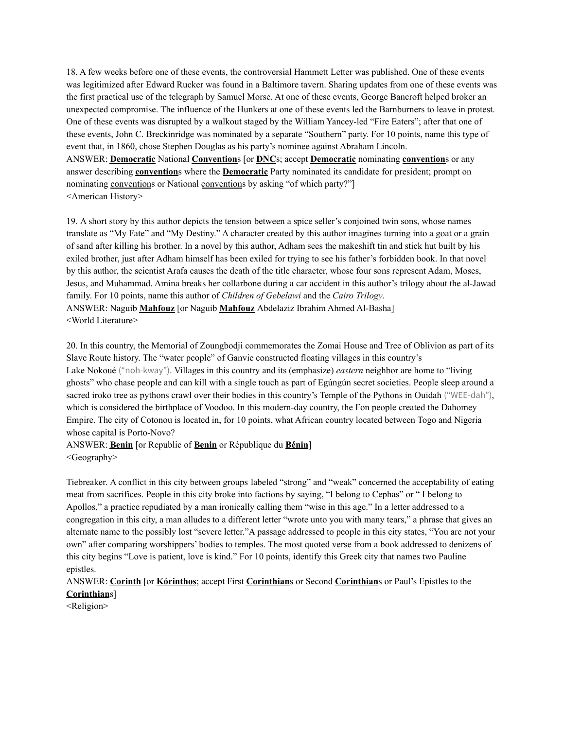18. A few weeks before one of these events, the controversial Hammett Letter was published. One of these events was legitimized after Edward Rucker was found in a Baltimore tavern. Sharing updates from one of these events was the first practical use of the telegraph by Samuel Morse. At one of these events, George Bancroft helped broker an unexpected compromise. The influence of the Hunkers at one of these events led the Barnburners to leave in protest. One of these events was disrupted by a walkout staged by the William Yancey-led "Fire Eaters"; after that one of these events, John C. Breckinridge was nominated by a separate "Southern" party. For 10 points, name this type of event that, in 1860, chose Stephen Douglas as his party's nominee against Abraham Lincoln. ANSWER: **Democratic** National **Convention**s [or **DNC**s; accept **Democratic** nominating **convention**s or any answer describing **convention**s where the **Democratic** Party nominated its candidate for president; prompt on nominating conventions or National conventions by asking "of which party?"] <American History>

19. A short story by this author depicts the tension between a spice seller's conjoined twin sons, whose names translate as "My Fate" and "My Destiny." A character created by this author imagines turning into a goat or a grain of sand after killing his brother. In a novel by this author, Adham sees the makeshift tin and stick hut built by his exiled brother, just after Adham himself has been exiled for trying to see his father's forbidden book. In that novel by this author, the scientist Arafa causes the death of the title character, whose four sons represent Adam, Moses, Jesus, and Muhammad. Amina breaks her collarbone during a car accident in this author's trilogy about the al-Jawad family. For 10 points, name this author of *Children of Gebelawi* and the *Cairo Trilogy*. ANSWER: Naguib **Mahfouz** [or Naguib **Mahfouz** Abdelaziz Ibrahim Ahmed Al-Basha] <World Literature>

20. In this country, the Memorial of Zoungbodji commemorates the Zomai House and Tree of Oblivion as part of its Slave Route history. The "water people" of Ganvie constructed floating villages in this country's Lake Nokoué ("noh-kway"). Villages in this country and its (emphasize) *eastern* neighbor are home to "living ghosts" who chase people and can kill with a single touch as part of Egúngún secret societies. People sleep around a sacred iroko tree as pythons crawl over their bodies in this country's Temple of the Pythons in Ouidah ("WEE-dah"), which is considered the birthplace of Voodoo. In this modern-day country, the Fon people created the Dahomey Empire. The city of Cotonou is located in, for 10 points, what African country located between Togo and Nigeria whose capital is Porto-Novo?

#### ANSWER: **Benin** [or Republic of **Benin** or République du **Bénin**] <Geography>

Tiebreaker. A conflict in this city between groups labeled "strong" and "weak" concerned the acceptability of eating meat from sacrifices. People in this city broke into factions by saying, "I belong to Cephas" or " I belong to Apollos," a practice repudiated by a man ironically calling them "wise in this age." In a letter addressed to a congregation in this city, a man alludes to a different letter "wrote unto you with many tears," a phrase that gives an alternate name to the possibly lost "severe letter."A passage addressed to people in this city states, "You are not your own" after comparing worshippers' bodies to temples. The most quoted verse from a book addressed to denizens of this city begins "Love is patient, love is kind." For 10 points, identify this Greek city that names two Pauline epistles.

## ANSWER: **Corinth** [or **Kórinthos**; accept First **Corinthian**s or Second **Corinthian**s or Paul's Epistles to the **Corinthian**s]

<Religion>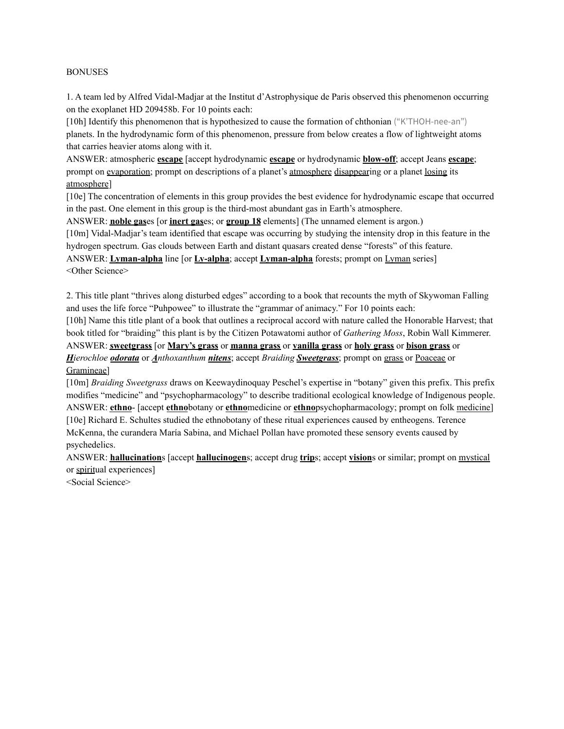#### BONUSES

1. A team led by Alfred Vidal-Madjar at the Institut d'Astrophysique de Paris observed this phenomenon occurring on the exoplanet HD 209458b. For 10 points each:

[10h] Identify this phenomenon that is hypothesized to cause the formation of chthonian ("K'THOH-nee-an") planets. In the hydrodynamic form of this phenomenon, pressure from below creates a flow of lightweight atoms that carries heavier atoms along with it.

ANSWER: atmospheric **escape** [accept hydrodynamic **escape** or hydrodynamic **blow-off**; accept Jeans **escape**; prompt on evaporation; prompt on descriptions of a planet's atmosphere disappearing or a planet losing its atmosphere]

[10e] The concentration of elements in this group provides the best evidence for hydrodynamic escape that occurred in the past. One element in this group is the third-most abundant gas in Earth's atmosphere.

ANSWER: **noble gas**es [or **inert gas**es; or **group 18** elements] (The unnamed element is argon.)

[10m] Vidal-Madjar's team identified that escape was occurring by studying the intensity drop in this feature in the hydrogen spectrum. Gas clouds between Earth and distant quasars created dense "forests" of this feature.

ANSWER: **Lyman-alpha** line [or **Ly-alpha**; accept **Lyman-alpha** forests; prompt on Lyman series] <Other Science>

2. This title plant "thrives along disturbed edges" according to a book that recounts the myth of Skywoman Falling and uses the life force "Puhpowee" to illustrate the "grammar of animacy." For 10 points each:

[10h] Name this title plant of a book that outlines a reciprocal accord with nature called the Honorable Harvest; that book titled for "braiding" this plant is by the Citizen Potawatomi author of *Gathering Moss*, Robin Wall Kimmerer. ANSWER: **sweetgrass** [or **Mary's grass** or **manna grass** or **vanilla grass** or **holy grass** or **bison grass** or *Hierochloe odorata* or *Anthoxanthum nitens*; accept *Braiding Sweetgrass*; prompt on grass or Poaceae or

#### Gramineae]

[10m] *Braiding Sweetgrass* draws on Keewaydinoquay Peschel's expertise in "botany" given this prefix. This prefix modifies "medicine" and "psychopharmacology" to describe traditional ecological knowledge of Indigenous people. ANSWER: **ethno**- [accept **ethno**botany or **ethno**medicine or **ethno**psychopharmacology; prompt on folk medicine] [10e] Richard E. Schultes studied the ethnobotany of these ritual experiences caused by entheogens. Terence McKenna, the curandera María Sabina, and Michael Pollan have promoted these sensory events caused by psychedelics.

ANSWER: **hallucination**s [accept **hallucinogen**s; accept drug **trip**s; accept **vision**s or similar; prompt on mystical or spiritual experiences]

<Social Science>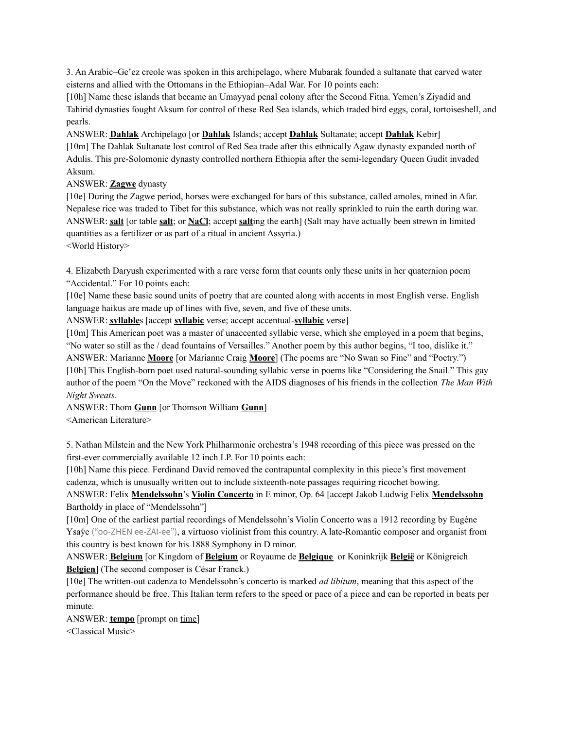3. An Arabic–Ge 'ez creole was spoken in this archipelago, where Mubarak founded a sultanate that carved water cisterns and allied with the Ottomans in the Ethiopian–Adal War. For 10 points each:

[10h] Name these islands that became an Umayyad penal colony after the Second Fitna. Yemen's Ziyadid and Tahirid dynasties fought Aksum for control of these Red Sea islands, which traded bird eggs, coral, tortoiseshell, and pearls.

ANSWER: **Dahlak** Archipelago [or **Dahlak** Islands; accept **Dahlak** Sultanate; accept **Dahlak** Kebir] [10m] The Dahlak Sultanate lost control of Red Sea trade after this ethnically Agaw dynasty expanded north of Adulis. This pre-Solomonic dynasty controlled northern Ethiopia after the semi-legendary Queen Gudit invaded Aksum.

#### ANSWER: **Zagwe** dynasty

[10e] During the Zagwe period, horses were exchanged for bars of this substance, called amoles, mined in Afar. Nepalese rice was traded to Tibet for this substance, which was not really sprinkled to ruin the earth during war. ANSWER: **salt** [or table **salt**; or **NaCl**; accept **salt**ing the earth] (Salt may have actually been strewn in limited quantities as a fertilizer or as part of a ritual in ancient Assyria.)

<World History>

4. Elizabeth Daryush experimented with a rare verse form that counts only these units in her quaternion poem "Accidental." For 10 points each:

[10e] Name these basic sound units of poetry that are counted along with accents in most English verse. English language haikus are made up of lines with five, seven, and five of these units.

ANSWER: **syllable**s [accept **syllabic** verse; accept accentual-**syllabic** verse]

[10m] This American poet was a master of unaccented syllabic verse, which she employed in a poem that begins, "No water so still as the / dead fountains of Versailles." Another poem by this author begins, "I too, dislike it."

ANSWER: Marianne **Moore** [or Marianne Craig **Moore**] (The poems are "No Swan so Fine" and "Poetry.") [10h] This English-born poet used natural-sounding syllabic verse in poems like "Considering the Snail." This gay author of the poem "On the Move" reckoned with the AIDS diagnoses of his friends in the collection *The Man With Night Sweats*.

ANSWER: Thom **Gunn** [or Thomson William **Gunn**]

<American Literature>

5. Nathan Milstein and the New York Philharmonic orchestra's 1948 recording of this piece was pressed on the first-ever commercially available 12 inch LP. For 10 points each:

[10h] Name this piece. Ferdinand David removed the contrapuntal complexity in this piece's first movement cadenza, which is unusually written out to include sixteenth-note passages requiring ricochet bowing.

ANSWER: Felix **Mendelssohn**'s **Violin Concerto** in E minor, Op. 64 [accept Jakob Ludwig Felix **Mendelssohn** Bartholdy in place of "Mendelssohn"]

[10m] One of the earliest partial recordings of Mendelssohn's Violin Concerto was a 1912 recording by Eugène Ysaÿe ("oo-ZHEN ee-ZAI-ee"), a virtuoso violinist from this country. A late-Romantic composer and organist from this country is best known for his 1888 Symphony in D minor.

ANSWER: **Belgium** [or Kingdom of **Belgium** or Royaume de **Belgique** or Koninkrijk **België** or Königreich **Belgien**] (The second composer is César Franck.)

[10e] The written-out cadenza to Mendelssohn's concerto is marked *ad libitum*, meaning that this aspect of the performance should be free. This Italian term refers to the speed or pace of a piece and can be reported in beats per minute.

ANSWER: **tempo** [prompt on time]

<Classical Music>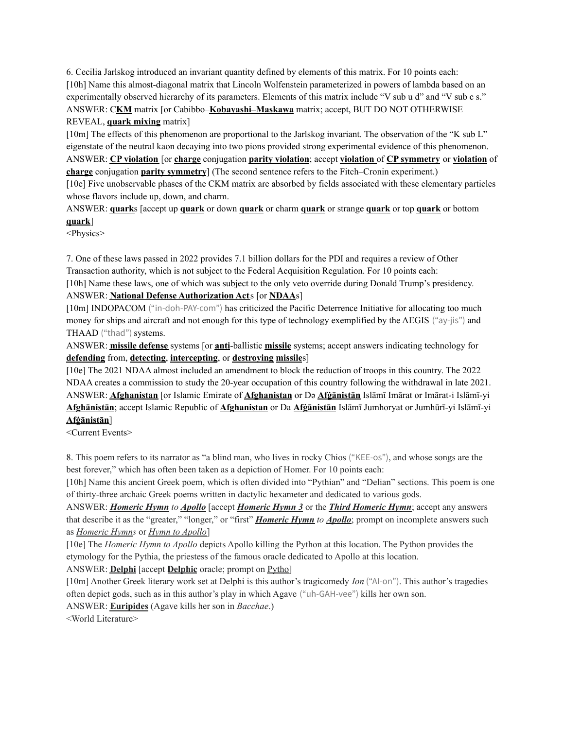6. Cecilia Jarlskog introduced an invariant quantity defined by elements of this matrix. For 10 points each: [10h] Name this almost-diagonal matrix that Lincoln Wolfenstein parameterized in powers of lambda based on an experimentally observed hierarchy of its parameters. Elements of this matrix include "V sub u d" and "V sub c s." ANSWER: C**KM** matrix [or Cabibbo–**Kobayashi–Maskawa** matrix; accept, BUT DO NOT OTHERWISE REVEAL, **quark mixing** matrix]

[10m] The effects of this phenomenon are proportional to the Jarlskog invariant. The observation of the "K sub L" eigenstate of the neutral kaon decaying into two pions provided strong experimental evidence of this phenomenon. ANSWER: **CP violation** [or **charge** conjugation **parity violation**; accept **violation** of **CP symmetry** or **violation** of **charge** conjugation **parity symmetry**] (The second sentence refers to the Fitch–Cronin experiment.)

[10e] Five unobservable phases of the CKM matrix are absorbed by fields associated with these elementary particles whose flavors include up, down, and charm.

ANSWER: **quark**s [accept up **quark** or down **quark** or charm **quark** or strange **quark** or top **quark** or bottom **quark**]

<Physics>

7. One of these laws passed in 2022 provides 7.1 billion dollars for the PDI and requires a review of Other Transaction authority, which is not subject to the Federal Acquisition Regulation. For 10 points each:

[10h] Name these laws, one of which was subject to the only veto override during Donald Trump's presidency. ANSWER: **National Defense Authorization Act**s [or **NDAA**s]

[10m] INDOPACOM ("in-doh-PAY-com") has criticized the Pacific Deterrence Initiative for allocating too much money for ships and aircraft and not enough for this type of technology exemplified by the AEGIS ("ay-jis") and THAAD ("thad") systems.

ANSWER: **missile defense** systems [or **anti**-ballistic **missile** systems; accept answers indicating technology for **defending** from, **detecting**, **intercepting**, or **destroying missile**s]

[10e] The 2021 NDAA almost included an amendment to block the reduction of troops in this country. The 2022 NDAA creates a commission to study the 20-year occupation of this country following the withdrawal in late 2021. ANSWER: **Afghanistan** [or Islamic Emirate of **Afghanistan** or Də **Afġānistān** Islāmī Imārat or Imārat-i Islāmī-yi **Afghānistān**; accept Islamic Republic of **Afghanistan** or Da **Afġānistān** Islāmī Jumhoryat or Jumhūrī-yi Islāmī-yi **Afġānistān**]

<Current Events>

8. This poem refers to its narrator as "a blind man, who lives in rocky Chios ("KEE-os"), and whose songs are the best forever," which has often been taken as a depiction of Homer. For 10 points each:

[10h] Name this ancient Greek poem, which is often divided into "Pythian" and "Delian" sections. This poem is one of thirty-three archaic Greek poems written in dactylic hexameter and dedicated to various gods.

ANSWER: *Homeric Hymn to Apollo* [accept *Homeric Hymn 3* or the *Third Homeric Hymn*; accept any answers that describe it as the "greater," "longer," or "first" *Homeric Hymn to Apollo*; prompt on incomplete answers such as *Homeric Hymns* or *Hymn to Apollo*]

[10e] The *Homeric Hymn to Apollo* depicts Apollo killing the Python at this location. The Python provides the etymology for the Pythia, the priestess of the famous oracle dedicated to Apollo at this location.

ANSWER: **Delphi** [accept **Delphic** oracle; prompt on Pytho]

[10m] Another Greek literary work set at Delphi is this author's tragicomedy *Ion* ("AI-on"). This author's tragedies often depict gods, such as in this author's play in which Agave ("uh-GAH-vee") kills her own son.

ANSWER: **Euripides** (Agave kills her son in *Bacchae*.)

<World Literature>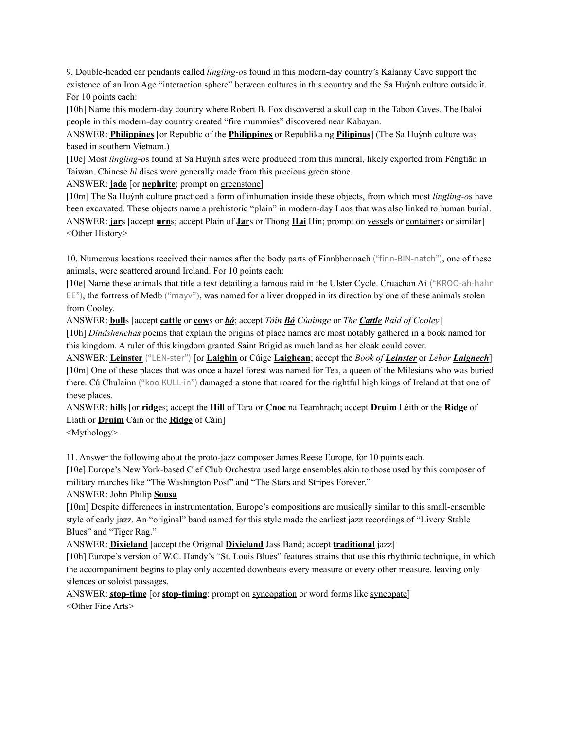9. Double-headed ear pendants called *lingling-o*s found in this modern-day country's Kalanay Cave support the existence of an Iron Age "interaction sphere" between cultures in this country and the Sa Huỳnh culture outside it. For 10 points each:

[10h] Name this modern-day country where Robert B. Fox discovered a skull cap in the Tabon Caves. The Ibaloi people in this modern-day country created "fire mummies" discovered near Kabayan.

ANSWER: **Philippines** [or Republic of the **Philippines** or Republika ng **Pilipinas**] (The Sa Huỳnh culture was based in southern Vietnam.)

[10e] Most *lingling-o*s found at Sa Huỳnh sites were produced from this mineral, likely exported from Fèngtiān in Taiwan. Chinese *bì* discs were generally made from this precious green stone.

ANSWER: **jade** [or **nephrite**; prompt on greenstone]

[10m] The Sa Huỳnh culture practiced a form of inhumation inside these objects, from which most *lingling-o*s have been excavated. These objects name a prehistoric "plain" in modern-day Laos that was also linked to human burial. ANSWER: **jar**s [accept **urn**s; accept Plain of **Jar**s or Thong **Hai** Hin; prompt on vessels or containers or similar] <Other History>

10. Numerous locations received their names after the body parts of Finnbhennach ("finn-BIN-natch"), one of these animals, were scattered around Ireland. For 10 points each:

[10e] Name these animals that title a text detailing a famous raid in the Ulster Cycle. Cruachan Ai ("KROO-ah-hahn  $EE$ ), the fortress of Medb ("mayy"), was named for a liver dropped in its direction by one of these animals stolen from Cooley.

ANSWER: **bull**s [accept **cattle** or **cow**s or *bó*; accept *Táin Bó Cúailnge* or *The Cattle Raid of Cooley*]

[10h] *Dindshenchas* poems that explain the origins of place names are most notably gathered in a book named for this kingdom. A ruler of this kingdom granted Saint Brigid as much land as her cloak could cover.

ANSWER: **Leinster** ("LEN-ster") [or **Laighin** or Cúige **Laighean**; accept the *Book of Leinster* or *Lebor Laignech*] [10m] One of these places that was once a hazel forest was named for Tea, a queen of the Milesians who was buried there. Cú Chulainn ("koo KULL-in") damaged a stone that roared for the rightful high kings of Ireland at that one of these places.

ANSWER: **hill**s [or **ridge**s; accept the **Hill** of Tara or **Cnoc** na Teamhrach; accept **Druim** Léith or the **Ridge** of Líath or **Druim** Cáin or the **Ridge** of Cáin]

<Mythology>

11. Answer the following about the proto-jazz composer James Reese Europe, for 10 points each.

[10e] Europe's New York-based Clef Club Orchestra used large ensembles akin to those used by this composer of military marches like "The Washington Post" and "The Stars and Stripes Forever."

ANSWER: John Philip **Sousa**

[10m] Despite differences in instrumentation, Europe's compositions are musically similar to this small-ensemble style of early jazz. An "original" band named for this style made the earliest jazz recordings of "Livery Stable Blues" and "Tiger Rag."

ANSWER: **Dixieland** [accept the Original **Dixieland** Jass Band; accept **traditional** jazz]

[10h] Europe's version of W.C. Handy's "St. Louis Blues" features strains that use this rhythmic technique, in which the accompaniment begins to play only accented downbeats every measure or every other measure, leaving only silences or soloist passages.

ANSWER: **stop-time** [or **stop-timing**; prompt on syncopation or word forms like syncopate] <Other Fine Arts>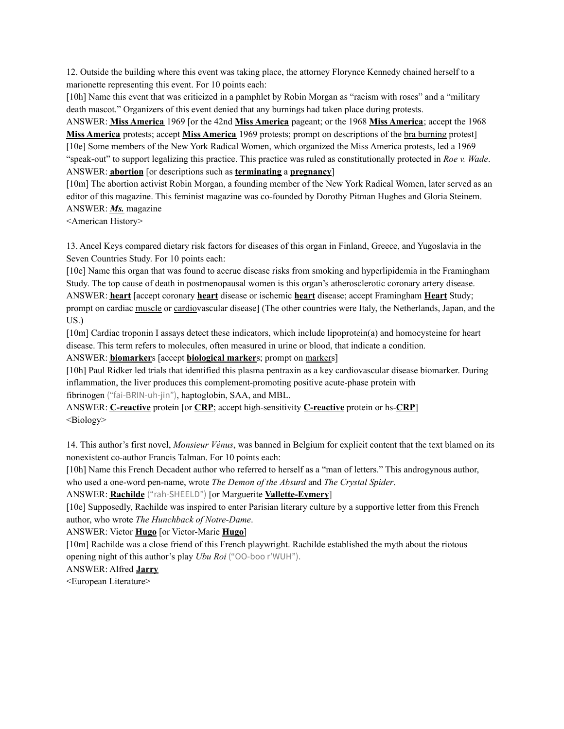12. Outside the building where this event was taking place, the attorney Florynce Kennedy chained herself to a marionette representing this event. For 10 points each:

[10h] Name this event that was criticized in a pamphlet by Robin Morgan as "racism with roses" and a "military death mascot." Organizers of this event denied that any burnings had taken place during protests.

ANSWER: **Miss America** 1969 [or the 42nd **Miss America** pageant; or the 1968 **Miss America**; accept the 1968 **Miss America** protests; accept **Miss America** 1969 protests; prompt on descriptions of the bra burning protest] [10e] Some members of the New York Radical Women, which organized the Miss America protests, led a 1969 "speak-out" to support legalizing this practice. This practice was ruled as constitutionally protected in *Roe v. Wade*. ANSWER: **abortion** [or descriptions such as **terminating** a **pregnancy**]

[10m] The abortion activist Robin Morgan, a founding member of the New York Radical Women, later served as an editor of this magazine. This feminist magazine was co-founded by Dorothy Pitman Hughes and Gloria Steinem. ANSWER: *Ms.* magazine

<American History>

13. Ancel Keys compared dietary risk factors for diseases of this organ in Finland, Greece, and Yugoslavia in the Seven Countries Study. For 10 points each:

[10e] Name this organ that was found to accrue disease risks from smoking and hyperlipidemia in the Framingham Study. The top cause of death in postmenopausal women is this organ's atherosclerotic coronary artery disease. ANSWER: **heart** [accept coronary **heart** disease or ischemic **heart** disease; accept Framingham **Heart** Study; prompt on cardiac muscle or cardiovascular disease] (The other countries were Italy, the Netherlands, Japan, and the US.)

[10m] Cardiac troponin I assays detect these indicators, which include lipoprotein(a) and homocysteine for heart disease. This term refers to molecules, often measured in urine or blood, that indicate a condition.

ANSWER: **biomarker**s [accept **biological marker**s; prompt on markers]

[10h] Paul Ridker led trials that identified this plasma pentraxin as a key cardiovascular disease biomarker. During inflammation, the liver produces this complement-promoting positive acute-phase protein with

fibrinogen ("fai-BRIN-uh-jin"), haptoglobin, SAA, and MBL.

ANSWER: **C-reactive** protein [or **CRP**; accept high-sensitivity **C-reactive** protein or hs-**CRP**] <Biology>

14. This author's first novel, *Monsieur Vénus*, was banned in Belgium for explicit content that the text blamed on its nonexistent co-author Francis Talman. For 10 points each:

[10h] Name this French Decadent author who referred to herself as a "man of letters." This androgynous author, who used a one-word pen-name, wrote *The Demon of the Absurd* and *The Crystal Spider*.

ANSWER: **Rachilde** ("rah-SHEELD") [or Marguerite **Vallette-Eymery**]

[10e] Supposedly, Rachilde was inspired to enter Parisian literary culture by a supportive letter from this French author, who wrote *The Hunchback of Notre-Dame*.

ANSWER: Victor **Hugo** [or Victor-Marie **Hugo**]

[10m] Rachilde was a close friend of this French playwright. Rachilde established the myth about the riotous opening night of this author's play *Ubu Roi* ("OO-boo r'WUH").

ANSWER: Alfred **Jarry**

<European Literature>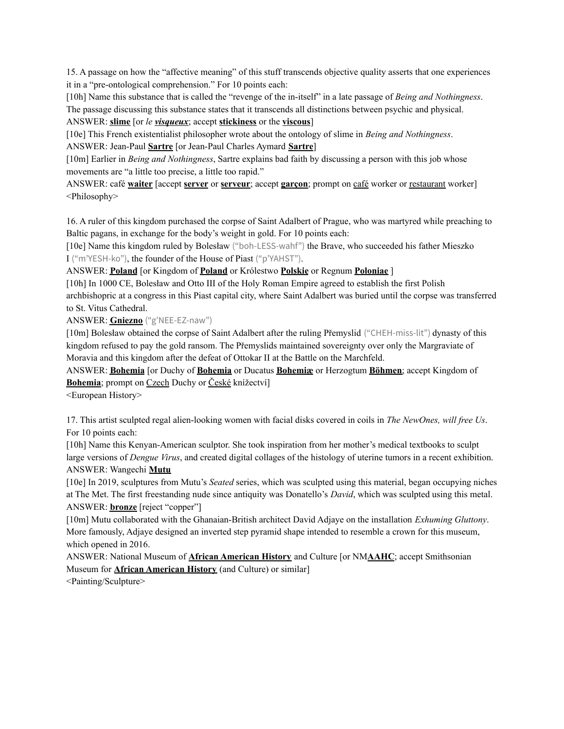15. A passage on how the "affective meaning" of this stuff transcends objective quality asserts that one experiences it in a "pre-ontological comprehension." For 10 points each:

[10h] Name this substance that is called the "revenge of the in-itself" in a late passage of *Being and Nothingness*.

The passage discussing this substance states that it transcends all distinctions between psychic and physical.

### ANSWER: **slime** [or *le visqueux*; accept **stickiness** or the **viscous**]

[10e] This French existentialist philosopher wrote about the ontology of slime in *Being and Nothingness*. ANSWER: Jean-Paul **Sartre** [or Jean-Paul Charles Aymard **Sartre**]

[10m] Earlier in *Being and Nothingness*, Sartre explains bad faith by discussing a person with this job whose movements are "a little too precise, a little too rapid."

ANSWER: café **waiter** [accept **server** or **serveur**; accept **garçon**; prompt on café worker or restaurant worker] <Philosophy>

16. A ruler of this kingdom purchased the corpse of Saint Adalbert of Prague, who was martyred while preaching to Baltic pagans, in exchange for the body's weight in gold. For 10 points each:

[10e] Name this kingdom ruled by Bolesław ("boh-LESS-wahf") the Brave, who succeeded his father Mieszko I ("m'YESH-ko"), the founder of the House of Piast ("p'YAHST").

ANSWER: **Poland** [or Kingdom of **Poland** or Królestwo **Polskie** or Regnum **Poloniae** ]

[10h] In 1000 CE, Bolesław and Otto III of the Holy Roman Empire agreed to establish the first Polish archbishopric at a congress in this Piast capital city, where Saint Adalbert was buried until the corpse was transferred to St. Vitus Cathedral.

ANSWER: **Gniezno** ("g'NEE-EZ-naw")

[10m] Bolesław obtained the corpse of Saint Adalbert after the ruling Přemyslid ("CHEH-miss-lit") dynasty of this kingdom refused to pay the gold ransom. The Přemyslids maintained sovereignty over only the Margraviate of Moravia and this kingdom after the defeat of Ottokar II at the Battle on the Marchfeld.

ANSWER: **Bohemia** [or Duchy of **Bohemia** or Ducatus **Bohemiæ** or Herzogtum **Böhmen**; accept Kingdom of Bohemia; prompt on Czech Duchy or České knížectví]

<European History>

17. This artist sculpted regal alien-looking women with facial disks covered in coils in *The NewOnes, will free Us*. For 10 points each:

[10h] Name this Kenyan-American sculptor. She took inspiration from her mother's medical textbooks to sculpt large versions of *Dengue Virus*, and created digital collages of the histology of uterine tumors in a recent exhibition. ANSWER: Wangechi **Mutu**

[10e] In 2019, sculptures from Mutu's *Seated* series, which was sculpted using this material, began occupying niches at The Met. The first freestanding nude since antiquity was Donatello's *David*, which was sculpted using this metal. ANSWER: **bronze** [reject "copper"]

[10m] Mutu collaborated with the Ghanaian-British architect David Adjaye on the installation *Exhuming Gluttony*. More famously, Adjaye designed an inverted step pyramid shape intended to resemble a crown for this museum, which opened in 2016.

ANSWER: National Museum of **African American History** and Culture [or NM**AAHC**; accept Smithsonian Museum for **African American History** (and Culture) or similar]

<Painting/Sculpture>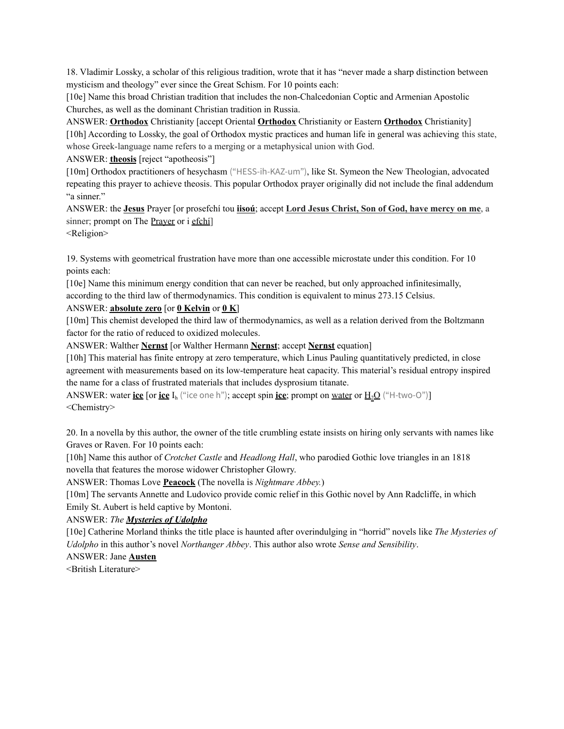18. Vladimir Lossky, a scholar of this religious tradition, wrote that it has "never made a sharp distinction between mysticism and theology" ever since the Great Schism. For 10 points each:

[10e] Name this broad Christian tradition that includes the non-Chalcedonian Coptic and Armenian Apostolic Churches, as well as the dominant Christian tradition in Russia.

ANSWER: **Orthodox** Christianity [accept Oriental **Orthodox** Christianity or Eastern **Orthodox** Christianity] [10h] According to Lossky, the goal of Orthodox mystic practices and human life in general was achieving this state, whose Greek-language name refers to a merging or a metaphysical union with God.

ANSWER: **theosis** [reject "apotheosis"]

[10m] Orthodox practitioners of hesychasm ("HESS-ih-KAZ-um"), like St. Symeon the New Theologian, advocated repeating this prayer to achieve theosis. This popular Orthodox prayer originally did not include the final addendum "a sinner."

ANSWER: the **Jesus** Prayer [or prosefchí tou **iisoú**; accept **Lord Jesus Christ, Son of God, have mercy on me**, a sinner; prompt on The Prayer or i efchí

<Religion>

19. Systems with geometrical frustration have more than one accessible microstate under this condition. For 10 points each:

[10e] Name this minimum energy condition that can never be reached, but only approached infinitesimally, according to the third law of thermodynamics. This condition is equivalent to minus 273.15 Celsius.

### ANSWER: **absolute zero** [or **0 Kelvin** or **0 K**]

[10m] This chemist developed the third law of thermodynamics, as well as a relation derived from the Boltzmann factor for the ratio of reduced to oxidized molecules.

ANSWER: Walther **Nernst** [or Walther Hermann **Nernst**; accept **Nernst** equation]

[10h] This material has finite entropy at zero temperature, which Linus Pauling quantitatively predicted, in close agreement with measurements based on its low-temperature heat capacity. This material's residual entropy inspired the name for a class of frustrated materials that includes dysprosium titanate.

ANSWER: water **ice** [or **ice**  $I_h$  ("ice one h"); accept spin **ice**; prompt on <u>water</u> or  $H_2O$  ("H-two-O")] <Chemistry>

20. In a novella by this author, the owner of the title crumbling estate insists on hiring only servants with names like Graves or Raven. For 10 points each:

[10h] Name this author of *Crotchet Castle* and *Headlong Hall*, who parodied Gothic love triangles in an 1818 novella that features the morose widower Christopher Glowry.

ANSWER: Thomas Love **Peacock** (The novella is *Nightmare Abbey.*)

[10m] The servants Annette and Ludovico provide comic relief in this Gothic novel by Ann Radcliffe, in which Emily St. Aubert is held captive by Montoni.

## ANSWER: *The Mysteries of Udolpho*

[10e] Catherine Morland thinks the title place is haunted after overindulging in "horrid" novels like *The Mysteries of Udolpho* in this author's novel *Northanger Abbey*. This author also wrote *Sense and Sensibility*.

ANSWER: Jane **Austen**

<British Literature>